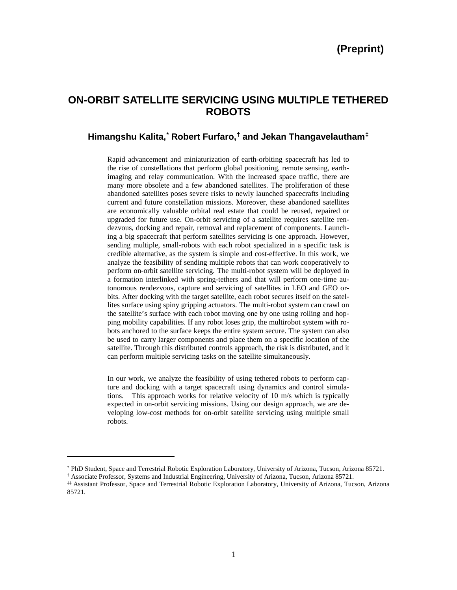# **ON-ORBIT SATELLITE SERVICING USING MULTIPLE TETHERED ROBOTS**

# **Himangshu Kalita, [\\*](#page-0-0) Robert Furfaro, [†](#page-0-1) and Jekan Thangavelautham[‡](#page-0-2)**

Rapid advancement and miniaturization of earth-orbiting spacecraft has led to the rise of constellations that perform global positioning, remote sensing, earthimaging and relay communication. With the increased space traffic, there are many more obsolete and a few abandoned satellites. The proliferation of these abandoned satellites poses severe risks to newly launched spacecrafts including current and future constellation missions. Moreover, these abandoned satellites are economically valuable orbital real estate that could be reused, repaired or upgraded for future use. On-orbit servicing of a satellite requires satellite rendezvous, docking and repair, removal and replacement of components. Launching a big spacecraft that perform satellites servicing is one approach. However, sending multiple, small-robots with each robot specialized in a specific task is credible alternative, as the system is simple and cost-effective. In this work, we analyze the feasibility of sending multiple robots that can work cooperatively to perform on-orbit satellite servicing. The multi-robot system will be deployed in a formation interlinked with spring-tethers and that will perform one-time autonomous rendezvous, capture and servicing of satellites in LEO and GEO orbits. After docking with the target satellite, each robot secures itself on the satellites surface using spiny gripping actuators. The multi-robot system can crawl on the satellite's surface with each robot moving one by one using rolling and hopping mobility capabilities. If any robot loses grip, the multirobot system with robots anchored to the surface keeps the entire system secure. The system can also be used to carry larger components and place them on a specific location of the satellite. Through this distributed controls approach, the risk is distributed, and it can perform multiple servicing tasks on the satellite simultaneously.

In our work, we analyze the feasibility of using tethered robots to perform capture and docking with a target spacecraft using dynamics and control simulations. This approach works for relative velocity of 10 m/s which is typically expected in on-orbit servicing missions. Using our design approach, we are developing low-cost methods for on-orbit satellite servicing using multiple small robots.

 $\overline{a}$ 

<span id="page-0-0"></span><sup>\*</sup> PhD Student, Space and Terrestrial Robotic Exploration Laboratory, University of Arizona, Tucson, Arizona 85721.

<sup>†</sup> Associate Professor, Systems and Industrial Engineering, University of Arizona, Tucson, Arizona 85721.

<span id="page-0-2"></span><span id="page-0-1"></span><sup>‡‡</sup> Assistant Professor, Space and Terrestrial Robotic Exploration Laboratory, University of Arizona, Tucson, Arizona 85721.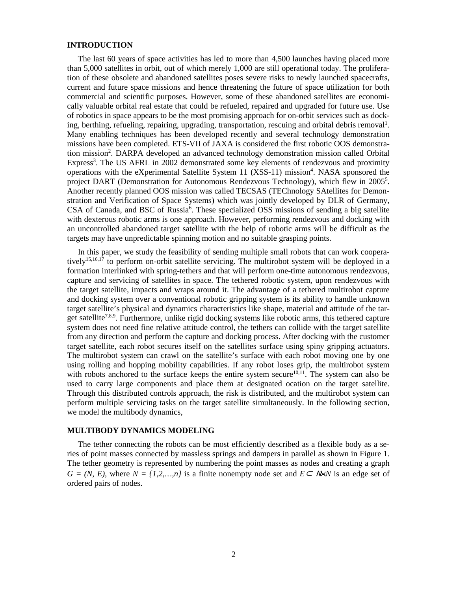## **INTRODUCTION**

The last 60 years of space activities has led to more than 4,500 launches having placed more than 5,000 satellites in orbit, out of which merely 1,000 are still operational today. The proliferation of these obsolete and abandoned satellites poses severe risks to newly launched spacecrafts, current and future space missions and hence threatening the future of space utilization for both commercial and scientific purposes. However, some of these abandoned satellites are economically valuable orbital real estate that could be refueled, repaired and upgraded for future use. Use of robotics in space appears to be the most promising approach for on-orbit services such as docking, berthing, refueling, repairing, upgrading, transportation, rescuing and orbital debris removal<sup>1</sup>. Many enabling techniques has been developed recently and several technology demonstration missions have been completed. ETS-VII of JAXA is considered the first robotic OOS demonstration mission<sup>2</sup>. DARPA developed an advanced technology demonstration mission called Orbital Express<sup>3</sup>. The US AFRL in 2002 demonstrated some key elements of rendezvous and proximity operations with the eXperimental Satellite System 11 (XSS-11) mission<sup>4</sup>. NASA sponsored the project DART (Demonstration for Autonomous Rendezvous Technology), which flew in 2005<sup>5</sup>. Another recently planned OOS mission was called TECSAS (TEChnology SAtellites for Demonstration and Verification of Space Systems) which was jointly developed by DLR of Germany, CSA of Canada, and BSC of Russia<sup>6</sup>. These specialized OSS missions of sending a big satellite with dexterous robotic arms is one approach. However, performing rendezvous and docking with an uncontrolled abandoned target satellite with the help of robotic arms will be difficult as the targets may have unpredictable spinning motion and no suitable grasping points.

In this paper, we study the feasibility of sending multiple small robots that can work cooperatively<sup>15,16,17</sup> to perform on-orbit satellite servicing. The multirobot system will be deployed in a formation interlinked with spring-tethers and that will perform one-time autonomous rendezvous, capture and servicing of satellites in space. The tethered robotic system, upon rendezvous with the target satellite, impacts and wraps around it. The advantage of a tethered multirobot capture and docking system over a conventional robotic gripping system is its ability to handle unknown target satellite's physical and dynamics characteristics like shape, material and attitude of the target satellite<sup>7,8,9</sup>. Furthermore, unlike rigid docking systems like robotic arms, this tethered capture system does not need fine relative attitude control, the tethers can collide with the target satellite from any direction and perform the capture and docking process. After docking with the customer target satellite, each robot secures itself on the satellites surface using spiny gripping actuators. The multirobot system can crawl on the satellite's surface with each robot moving one by one using rolling and hopping mobility capabilities. If any robot loses grip, the multirobot system with robots anchored to the surface keeps the entire system secure<sup>10,11</sup>. The system can also be used to carry large components and place them at designated ocation on the target satellite. Through this distributed controls approach, the risk is distributed, and the multirobot system can perform multiple servicing tasks on the target satellite simultaneously. In the following section, we model the multibody dynamics,

#### **MULTIBODY DYNAMICS MODELING**

The tether connecting the robots can be most efficiently described as a flexible body as a series of point masses connected by massless springs and dampers in parallel as shown in Figure 1. The tether geometry is represented by numbering the point masses as nodes and creating a graph  $G = (N, E)$ , where  $N = \{1, 2, ..., n\}$  is a finite nonempty node set and  $E \subseteq N \times N$  is an edge set of ordered pairs of nodes.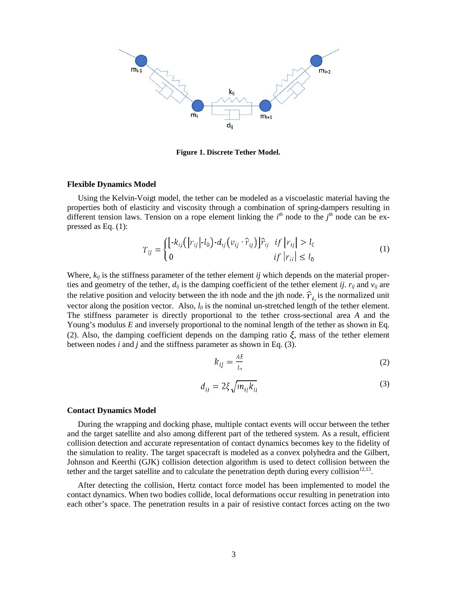

**Figure 1. Discrete Tether Model.**

#### **Flexible Dynamics Model**

Using the Kelvin-Voigt model, the tether can be modeled as a viscoelastic material having the properties both of elasticity and viscosity through a combination of spring-dampers resulting in different tension laws. Tension on a rope element linking the  $i<sup>th</sup>$  node to the  $j<sup>th</sup>$  node can be expressed as Eq. (1):

$$
T_{ij} = \begin{cases} \left[ -k_{ij} \left( |r_{ij}| \cdot l_0 \right) - d_{ij} \left( v_{ij} \cdot \hat{r}_{ij} \right) \right] \hat{r}_{ij} & \text{if } |r_{ij}| > l_0 \\ 0 & \text{if } |r_{ij}| \le l_0 \end{cases} \tag{1}
$$

Where,  $k_{ij}$  is the stiffness parameter of the tether element *ij* which depends on the material properties and geometry of the tether,  $d_{ij}$  is the damping coefficient of the tether element *ij.*  $r_{ij}$  and  $v_{ij}$  are the relative position and velocity between the ith node and the jth node.  $\hat{r}_i$  is the normalized unit vector along the position vector. Also, *l0* is the nominal un-stretched length of the tether element. The stiffness parameter is directly proportional to the tether cross-sectional area *A* and the Young's modulus *E* and inversely proportional to the nominal length of the tether as shown in Eq. (2). Also, the damping coefficient depends on the damping ratio  $\xi$ , mass of the tether element between nodes *i* and *j* and the stiffness parameter as shown in Eq. (3).

$$
k_{ij} = \frac{AE}{l_0} \tag{2}
$$

$$
d_{ij} = 2\xi \sqrt{m_{ij} k_{ij}}\tag{3}
$$

#### **Contact Dynamics Model**

During the wrapping and docking phase, multiple contact events will occur between the tether and the target satellite and also among different part of the tethered system. As a result, efficient collision detection and accurate representation of contact dynamics becomes key to the fidelity of the simulation to reality. The target spacecraft is modeled as a convex polyhedra and the Gilbert, Johnson and Keerthi (GJK) collision detection algorithm is used to detect collision between the tether and the target satellite and to calculate the penetration depth during every collision<sup>12,13</sup>.

After detecting the collision, Hertz contact force model has been implemented to model the contact dynamics. When two bodies collide, local deformations occur resulting in penetration into each other's space. The penetration results in a pair of resistive contact forces acting on the two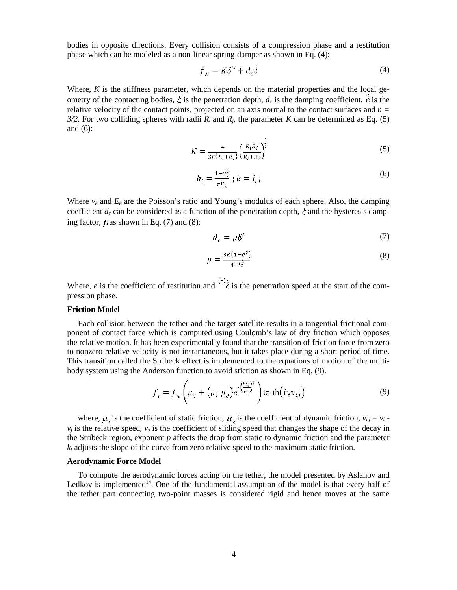bodies in opposite directions. Every collision consists of a compression phase and a restitution phase which can be modeled as a non-linear spring-damper as shown in Eq. (4):

$$
f_N = K\delta^n + d_c\delta \tag{4}
$$

Where, *K* is the stiffness parameter, which depends on the material properties and the local geometry of the contacting bodies,  $\delta$  is the penetration depth,  $d_c$  is the damping coefficient,  $\dot{\delta}$  is the relative velocity of the contact points, projected on an axis normal to the contact surfaces and *n = 3/2*. For two colliding spheres with radii  $R_i$  and  $R_j$ , the parameter  $K$  can be determined as Eq. (5) and (6):

$$
K = \frac{4}{3\pi (h_i + h_j)} \left( \frac{R_i R_j}{R_i + R_j} \right)^{\frac{1}{2}}
$$
 (5)

 $\mathbf{1}$ 

$$
h_i = \frac{1 - v_k^2}{\pi E_k} \; ; k = i, j \tag{6}
$$

Where  $v_k$  and  $E_k$  are the Poisson's ratio and Young's modulus of each sphere. Also, the damping coefficient  $d_c$  can be considered as a function of the penetration depth,  $\delta$  and the hysteresis damping factor,  $\mu$  as shown in Eq. (7) and (8):

$$
d_c = \mu \delta^{\kappa} \tag{7}
$$

$$
\mu = \frac{3K(1-e^2)}{4\pi\delta} \tag{8}
$$

Where, *e* is the coefficient of restitution and  $\left(\frac{1}{6}\right)$  is the penetration speed at the start of the compression phase.

#### **Friction Model**

Each collision between the tether and the target satellite results in a tangential frictional component of contact force which is computed using Coulomb's law of dry friction which opposes the relative motion. It has been experimentally found that the transition of friction force from zero to nonzero relative velocity is not instantaneous, but it takes place during a short period of time. This transition called the Stribeck effect is implemented to the equations of motion of the multibody system using the Anderson function to avoid stiction as shown in Eq. (9).

$$
f_t = f_N \left( \mu_d + (\mu_s \cdot \mu_d) e^{-\left(\frac{\nu_{t,j}}{\nu_s}\right)^p} \right) \tanh\left(k_t \nu_{t,j}\right) \tag{9}
$$

where,  $\mu_{\epsilon}$  is the coefficient of static friction,  $\mu_{\alpha}$  is the coefficient of dynamic friction,  $v_{i,j} = v_i$ .  $v_i$  is the relative speed,  $v_s$  is the coefficient of sliding speed that changes the shape of the decay in the Stribeck region, exponent *p* affects the drop from static to dynamic friction and the parameter  $k_t$  adjusts the slope of the curve from zero relative speed to the maximum static friction.

#### **Aerodynamic Force Model**

To compute the aerodynamic forces acting on the tether, the model presented by Aslanov and Ledkov is implemented<sup>14</sup>. One of the fundamental assumption of the model is that every half of the tether part connecting two-point masses is considered rigid and hence moves at the same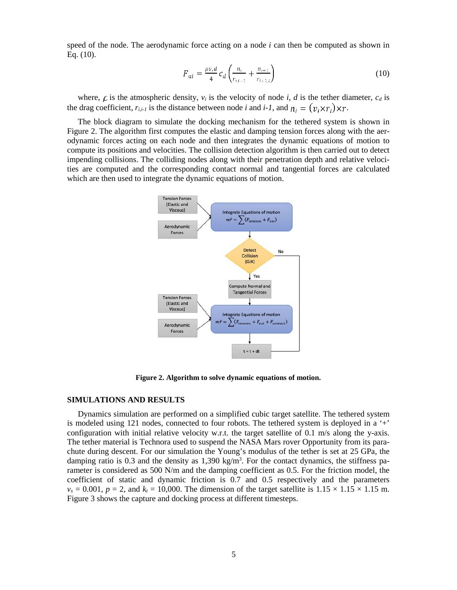speed of the node. The aerodynamic force acting on a node *i* can then be computed as shown in Eq. (10).

$$
F_{ai} = \frac{\rho v_i d}{4} c_d \left( \frac{n_i}{r_{i,i-1}} + \frac{n_{i+1}}{r_{i+1,i}} \right)
$$
 (10)

where,  $\vec{\mathcal{L}}$  is the atmospheric density,  $v_i$  is the velocity of node *i*, *d* is the tether diameter,  $c_d$  is the drag coefficient,  $r_{i,i-1}$  is the distance between node *i* and *i-1*, and  $n_i = (v_i \times r_i) \times r$ .

The block diagram to simulate the docking mechanism for the tethered system is shown in Figure 2. The algorithm first computes the elastic and damping tension forces along with the aerodynamic forces acting on each node and then integrates the dynamic equations of motion to compute its positions and velocities. The collision detection algorithm is then carried out to detect impending collisions. The colliding nodes along with their penetration depth and relative velocities are computed and the corresponding contact normal and tangential forces are calculated which are then used to integrate the dynamic equations of motion.



**Figure 2. Algorithm to solve dynamic equations of motion.**

#### **SIMULATIONS AND RESULTS**

Dynamics simulation are performed on a simplified cubic target satellite. The tethered system is modeled using 121 nodes, connected to four robots. The tethered system is deployed in a '+' configuration with initial relative velocity w.r.t. the target satellite of 0.1 m/s along the y-axis. The tether material is Technora used to suspend the NASA Mars rover Opportunity from its parachute during descent. For our simulation the Young's modulus of the tether is set at 25 GPa, the damping ratio is 0.3 and the density as  $1,390 \text{ kg/m}^3$ . For the contact dynamics, the stiffness parameter is considered as 500 N/m and the damping coefficient as 0.5. For the friction model, the coefficient of static and dynamic friction is 0.7 and 0.5 respectively and the parameters  $v_s = 0.001$ ,  $p = 2$ , and  $k_t = 10,000$ . The dimension of the target satellite is  $1.15 \times 1.15 \times 1.15$  m. Figure 3 shows the capture and docking process at different timesteps.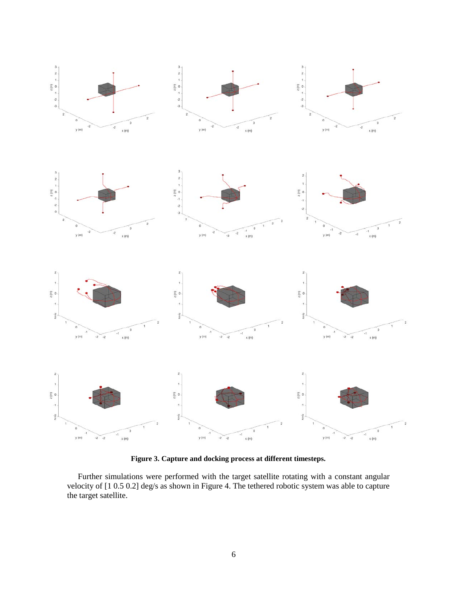

**Figure 3. Capture and docking process at different timesteps.**

Further simulations were performed with the target satellite rotating with a constant angular velocity of [1 0.5 0.2] deg/s as shown in Figure 4. The tethered robotic system was able to capture the target satellite.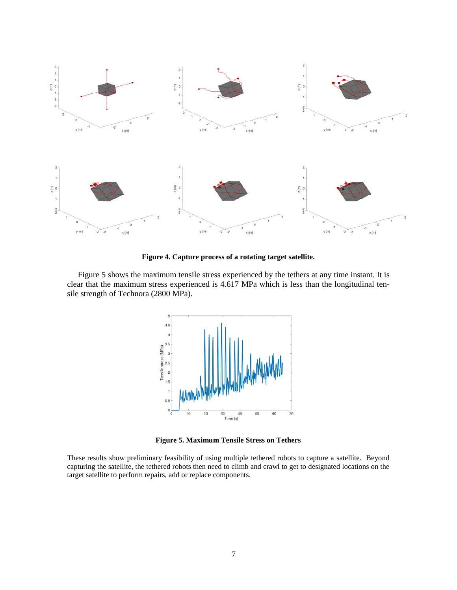

**Figure 4. Capture process of a rotating target satellite.**

Figure 5 shows the maximum tensile stress experienced by the tethers at any time instant. It is clear that the maximum stress experienced is 4.617 MPa which is less than the longitudinal tensile strength of Technora (2800 MPa).



**Figure 5. Maximum Tensile Stress on Tethers**

These results show preliminary feasibility of using multiple tethered robots to capture a satellite. Beyond capturing the satellite, the tethered robots then need to climb and crawl to get to designated locations on the target satellite to perform repairs, add or replace components.